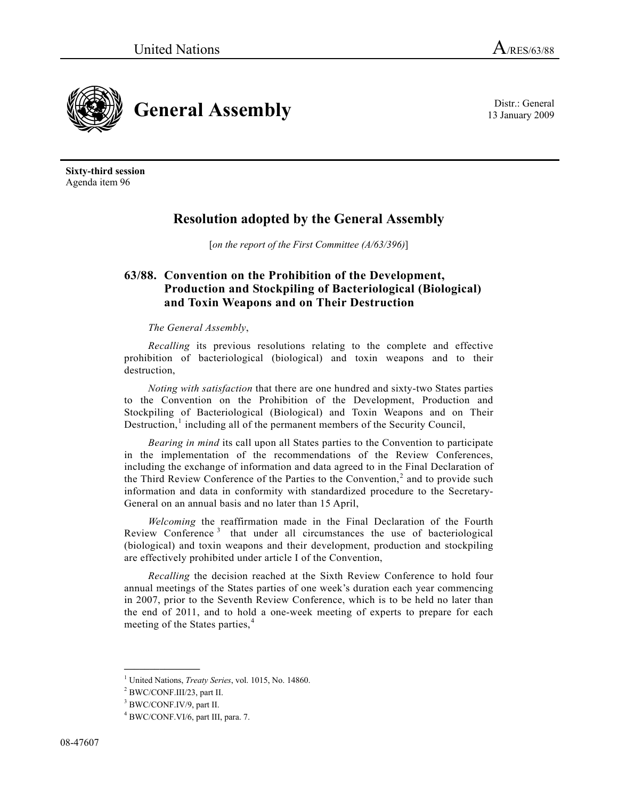13 January 2009



**Sixty-third session**  Agenda item 96

## **Resolution adopted by the General Assembly**

[*on the report of the First Committee (A/63/396)*]

## **63/88. Convention on the Prohibition of the Development, Production and Stockpiling of Bacteriological (Biological) and Toxin Weapons and on Their Destruction**

## *The General Assembly*,

*Recalling* its previous resolutions relating to the complete and effective prohibition of bacteriological (biological) and toxin weapons and to their destruction,

*Noting with satisfaction* that there are one hundred and sixty-two States parties to the Convention on the Prohibition of the Development, Production and Stockpiling of Bacteriological (Biological) and Toxin Weapons and on Their Destruction, $<sup>1</sup>$  $<sup>1</sup>$  $<sup>1</sup>$  including all of the permanent members of the Security Council,</sup>

*Bearing in mind* its call upon all States parties to the Convention to participate in the implementation of the recommendations of the Review Conferences, including the exchange of information and data agreed to in the Final Declaration of the Third Review Conference of the Parties to the Convention, $<sup>2</sup>$  $<sup>2</sup>$  $<sup>2</sup>$  and to provide such</sup> information and data in conformity with standardized procedure to the Secretary-General on an annual basis and no later than 15 April,

*Welcoming* the reaffirmation made in the Final Declaration of the Fourth Review Conference<sup>[3](#page-0-2)</sup> that under all circumstances the use of bacteriological (biological) and toxin weapons and their development, production and stockpiling are effectively prohibited under article I of the Convention,

*Recalling* the decision reached at the Sixth Review Conference to hold four annual meetings of the States parties of one week's duration each year commencing in 2007, prior to the Seventh Review Conference, which is to be held no later than the end of 2011, and to hold a one-week meeting of experts to prepare for each meeting of the States parties,<sup>[4](#page-0-3)</sup>

<span id="page-0-0"></span><sup>&</sup>lt;sup>1</sup> United Nations, *Treaty Series*, vol. 1015, No. 14860.<br><sup>2</sup> BWC/CONE H1/22, port H

<span id="page-0-1"></span>BWC/CONF.III/23, part II.

<span id="page-0-3"></span><span id="page-0-2"></span><sup>&</sup>lt;sup>3</sup> BWC/CONF.IV/9, part II.

<sup>4</sup> BWC/CONF.VI/6, part III, para. 7.